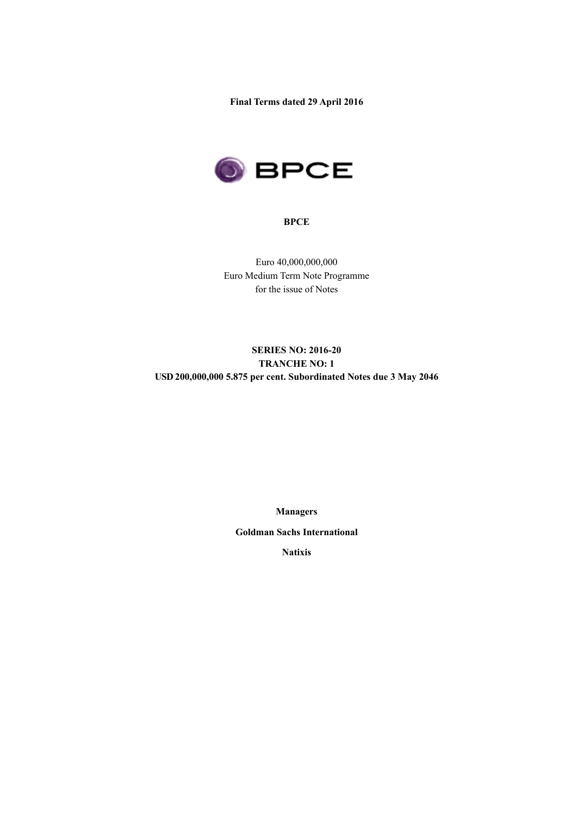**Final Terms dated 29 April 2016**



### **BPCE**

Euro 40,000,000,000 Euro Medium Term Note Programme for the issue of Notes

## **SERIES NO: 2016-20 TRANCHE NO: 1 USD 200,000,000 5.875 per cent. Subordinated Notes due 3 May 2046**

**Managers**

**Goldman Sachs International**

**Natixis**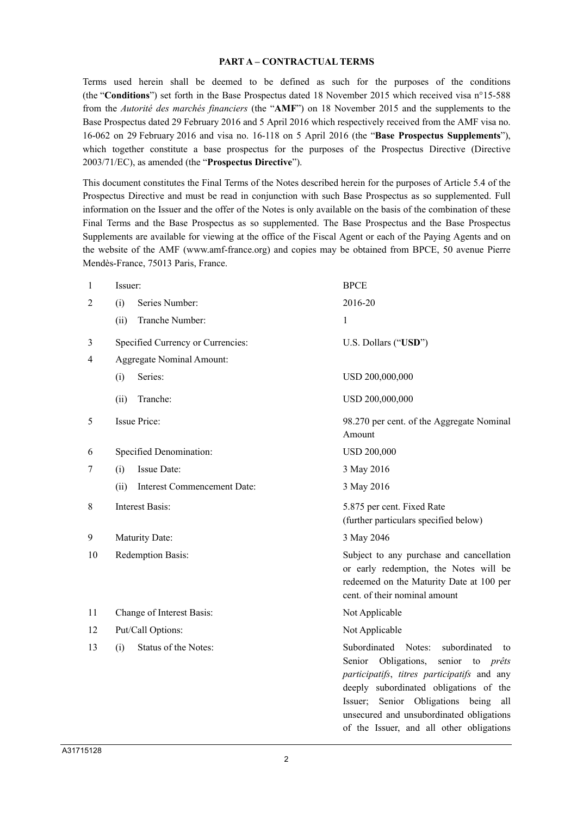#### **PART A – CONTRACTUAL TERMS**

Terms used herein shall be deemed to be defined as such for the purposes of the conditions (the "**Conditions**") set forth in the Base Prospectus dated 18 November 2015 which received visa n°15-588 from the *Autorité des marchés financiers* (the "**AMF**") on 18 November 2015 and the supplements to the Base Prospectus dated 29 February 2016 and 5 April 2016 which respectively received from the AMF visa no. 16-062 on 29 February 2016 and visa no. 16-118 on 5 April 2016 (the "**Base Prospectus Supplements**"), which together constitute a base prospectus for the purposes of the Prospectus Directive (Directive 2003/71/EC), as amended (the "**Prospectus Directive**").

This document constitutes the Final Terms of the Notes described herein for the purposes of Article 5.4 of the Prospectus Directive and must be read in conjunction with such Base Prospectus as so supplemented. Full information on the Issuer and the offer of the Notes is only available on the basis of the combination of these Final Terms and the Base Prospectus as so supplemented. The Base Prospectus and the Base Prospectus Supplements are available for viewing at the office of the Fiscal Agent or each of the Paying Agents and on the website of the AMF (www.amf-france.org) and copies may be obtained from BPCE, 50 avenue Pierre Mendès-France, 75013 Paris, France.

| 1  | Issuer: |                                   | <b>BPCE</b>                                                                                                                                                                                                                                                                                                                     |
|----|---------|-----------------------------------|---------------------------------------------------------------------------------------------------------------------------------------------------------------------------------------------------------------------------------------------------------------------------------------------------------------------------------|
| 2  | (i)     | Series Number:                    | 2016-20                                                                                                                                                                                                                                                                                                                         |
|    | (ii)    | Tranche Number:                   | 1                                                                                                                                                                                                                                                                                                                               |
| 3  |         | Specified Currency or Currencies: | U.S. Dollars ("USD")                                                                                                                                                                                                                                                                                                            |
| 4  |         | <b>Aggregate Nominal Amount:</b>  |                                                                                                                                                                                                                                                                                                                                 |
|    | (i)     | Series:                           | USD 200,000,000                                                                                                                                                                                                                                                                                                                 |
|    | (ii)    | Tranche:                          | USD 200,000,000                                                                                                                                                                                                                                                                                                                 |
| 5  |         | Issue Price:                      | 98.270 per cent. of the Aggregate Nominal<br>Amount                                                                                                                                                                                                                                                                             |
| 6  |         | Specified Denomination:           | <b>USD 200,000</b>                                                                                                                                                                                                                                                                                                              |
| 7  | (i)     | Issue Date:                       | 3 May 2016                                                                                                                                                                                                                                                                                                                      |
|    | (ii)    | Interest Commencement Date:       | 3 May 2016                                                                                                                                                                                                                                                                                                                      |
| 8  |         | <b>Interest Basis:</b>            | 5.875 per cent. Fixed Rate<br>(further particulars specified below)                                                                                                                                                                                                                                                             |
| 9  |         | Maturity Date:                    | 3 May 2046                                                                                                                                                                                                                                                                                                                      |
| 10 |         | Redemption Basis:                 | Subject to any purchase and cancellation<br>or early redemption, the Notes will be<br>redeemed on the Maturity Date at 100 per<br>cent. of their nominal amount                                                                                                                                                                 |
| 11 |         | Change of Interest Basis:         | Not Applicable                                                                                                                                                                                                                                                                                                                  |
| 12 |         | Put/Call Options:                 | Not Applicable                                                                                                                                                                                                                                                                                                                  |
| 13 | (i)     | Status of the Notes:              | Subordinated<br>Notes:<br>subordinated<br>to<br>Obligations,<br>Senior<br>senior<br>to <i>prêts</i><br>participatifs, titres participatifs and any<br>deeply subordinated obligations of the<br>Issuer; Senior Obligations being<br>all<br>unsecured and unsubordinated obligations<br>of the Issuer, and all other obligations |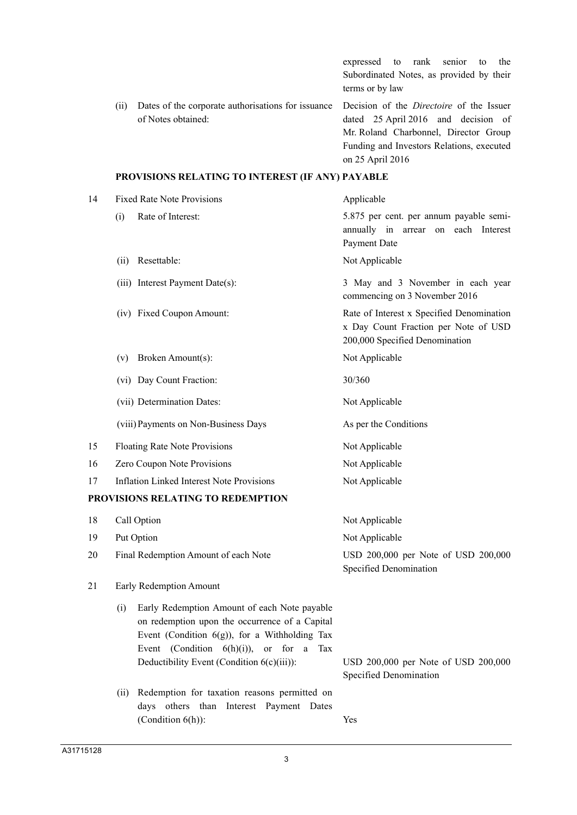|      |                                                                                                                          | expressed to rank senior to the<br>Subordinated Notes, as provided by their<br>terms or by law                                                |
|------|--------------------------------------------------------------------------------------------------------------------------|-----------------------------------------------------------------------------------------------------------------------------------------------|
| (11) | Dates of the corporate authorisations for issuance Decision of the <i>Directoire</i> of the Issuer<br>of Notes obtained: | dated 25 April 2016 and decision of<br>Mr. Roland Charbonnel, Director Group<br>Funding and Investors Relations, executed<br>on 25 April 2016 |

# **PROVISIONS RELATING TO INTEREST (IF ANY) PAYABLE**

| 14 | <b>Fixed Rate Note Provisions</b>                                                                                                                                                                                                                                     | Applicable                                                                                                          |  |  |
|----|-----------------------------------------------------------------------------------------------------------------------------------------------------------------------------------------------------------------------------------------------------------------------|---------------------------------------------------------------------------------------------------------------------|--|--|
|    | Rate of Interest:<br>(i)                                                                                                                                                                                                                                              | 5.875 per cent. per annum payable semi-<br>annually in arrear on each Interest<br>Payment Date                      |  |  |
|    | Resettable:<br>(ii)                                                                                                                                                                                                                                                   | Not Applicable                                                                                                      |  |  |
|    | (iii) Interest Payment Date(s):                                                                                                                                                                                                                                       | 3 May and 3 November in each year<br>commencing on 3 November 2016                                                  |  |  |
|    | (iv) Fixed Coupon Amount:                                                                                                                                                                                                                                             | Rate of Interest x Specified Denomination<br>x Day Count Fraction per Note of USD<br>200,000 Specified Denomination |  |  |
|    | Broken Amount(s):<br>(v)                                                                                                                                                                                                                                              | Not Applicable                                                                                                      |  |  |
|    | (vi) Day Count Fraction:                                                                                                                                                                                                                                              | 30/360                                                                                                              |  |  |
|    | (vii) Determination Dates:                                                                                                                                                                                                                                            | Not Applicable                                                                                                      |  |  |
|    | (viii) Payments on Non-Business Days                                                                                                                                                                                                                                  | As per the Conditions                                                                                               |  |  |
| 15 | Floating Rate Note Provisions                                                                                                                                                                                                                                         | Not Applicable                                                                                                      |  |  |
| 16 | Zero Coupon Note Provisions                                                                                                                                                                                                                                           | Not Applicable                                                                                                      |  |  |
| 17 | <b>Inflation Linked Interest Note Provisions</b>                                                                                                                                                                                                                      | Not Applicable                                                                                                      |  |  |
|    | PROVISIONS RELATING TO REDEMPTION                                                                                                                                                                                                                                     |                                                                                                                     |  |  |
| 18 | Call Option                                                                                                                                                                                                                                                           | Not Applicable                                                                                                      |  |  |
| 19 | Put Option                                                                                                                                                                                                                                                            | Not Applicable                                                                                                      |  |  |
| 20 | Final Redemption Amount of each Note                                                                                                                                                                                                                                  | USD 200,000 per Note of USD 200,000<br>Specified Denomination                                                       |  |  |
| 21 | Early Redemption Amount                                                                                                                                                                                                                                               |                                                                                                                     |  |  |
|    | Early Redemption Amount of each Note payable<br>(i)<br>on redemption upon the occurrence of a Capital<br>Event (Condition $6(g)$ ), for a Withholding Tax<br>Event (Condition $6(h)(i)$ ),<br><b>or</b><br>for a<br>Tax<br>Deductibility Event (Condition 6(c)(iii)): | USD 200,000 per Note of USD 200,000                                                                                 |  |  |
|    |                                                                                                                                                                                                                                                                       | Specified Denomination                                                                                              |  |  |
|    | Redemption for taxation reasons permitted on<br>(ii)<br>days others than Interest Payment Dates<br>(Condition $6(h)$ ):                                                                                                                                               | Yes                                                                                                                 |  |  |

3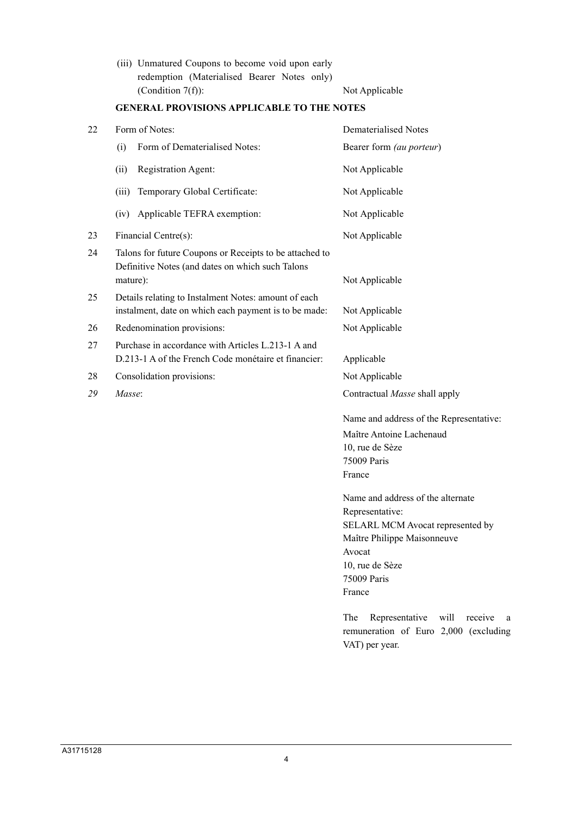(iii) Unmatured Coupons to become void upon early redemption (Materialised Bearer Notes only) (Condition 7(f)): Not Applicable

| 22 | Form of Notes:                                                                                                          | Dematerialised Notes                                                                                                                                                          |  |  |
|----|-------------------------------------------------------------------------------------------------------------------------|-------------------------------------------------------------------------------------------------------------------------------------------------------------------------------|--|--|
|    | Form of Dematerialised Notes:<br>(i)                                                                                    | Bearer form (au porteur)                                                                                                                                                      |  |  |
|    | Registration Agent:<br>(ii)                                                                                             | Not Applicable                                                                                                                                                                |  |  |
|    | (iii)<br>Temporary Global Certificate:                                                                                  | Not Applicable                                                                                                                                                                |  |  |
|    | Applicable TEFRA exemption:<br>(iv)                                                                                     | Not Applicable                                                                                                                                                                |  |  |
| 23 | Financial Centre(s):                                                                                                    | Not Applicable                                                                                                                                                                |  |  |
| 24 | Talons for future Coupons or Receipts to be attached to<br>Definitive Notes (and dates on which such Talons<br>mature): | Not Applicable                                                                                                                                                                |  |  |
| 25 | Details relating to Instalment Notes: amount of each<br>instalment, date on which each payment is to be made:           | Not Applicable                                                                                                                                                                |  |  |
| 26 | Redenomination provisions:                                                                                              | Not Applicable                                                                                                                                                                |  |  |
| 27 | Purchase in accordance with Articles L.213-1 A and<br>D.213-1 A of the French Code monétaire et financier:              | Applicable                                                                                                                                                                    |  |  |
| 28 | Consolidation provisions:                                                                                               | Not Applicable                                                                                                                                                                |  |  |
| 29 | Masse:                                                                                                                  | Contractual Masse shall apply                                                                                                                                                 |  |  |
|    |                                                                                                                         | Name and address of the Representative:<br>Maître Antoine Lachenaud<br>10, rue de Sèze<br>75009 Paris<br>France                                                               |  |  |
|    |                                                                                                                         | Name and address of the alternate<br>Representative:<br>SELARL MCM Avocat represented by<br>Maître Philippe Maisonneuve<br>Avocat<br>10, rue de Sèze<br>75009 Paris<br>France |  |  |
|    |                                                                                                                         | Representative<br>The<br>will<br>receive<br>- a<br>remuneration of Euro 2,000 (excluding<br>VAT) per year.                                                                    |  |  |

# **GENERAL PROVISIONS APPLICABLE TO THE NOTES**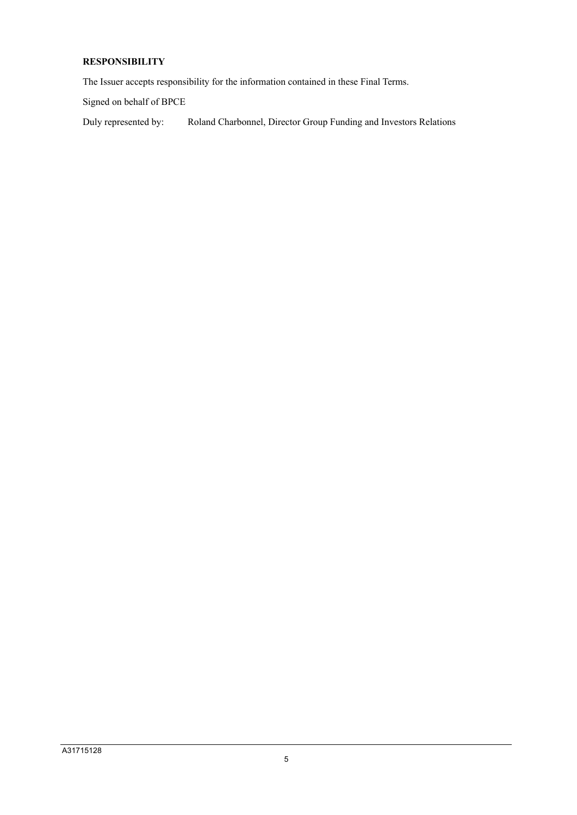## **RESPONSIBILITY**

The Issuer accepts responsibility for the information contained in these Final Terms.

Signed on behalf of BPCE

Duly represented by: Roland Charbonnel, Director Group Funding and Investors Relations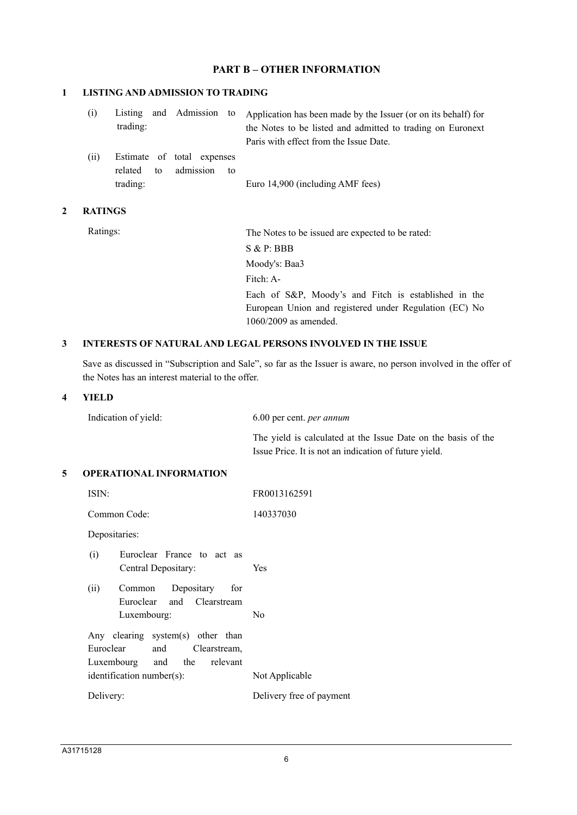### **PART B – OTHER INFORMATION**

#### **1 LISTING AND ADMISSION TO TRADING**

| (i) |          |  | Listing and Admission to Application has been made by the Issuer (or on its behalf) for |
|-----|----------|--|-----------------------------------------------------------------------------------------|
|     | trading: |  | the Notes to be listed and admitted to trading on Euronext                              |
|     |          |  | Paris with effect from the Issue Date.                                                  |
|     |          |  |                                                                                         |

(ii) Estimate of total expenses related to admission to trading: Euro 14,900 (including AMF fees)

#### **2 RATINGS**

Ratings: The Notes to be issued are expected to be rated: S & P: BBB Moody's: Baa3 Fitch: A-Each of S&P, Moody's and Fitch is established in the European Union and registered under Regulation (EC) No 1060/2009 as amended.

#### **3 INTERESTS OF NATURAL AND LEGAL PERSONS INVOLVED IN THE ISSUE**

Save as discussed in "Subscription and Sale", so far as the Issuer is aware, no person involved in the offer of the Notes has an interest material to the offer.

#### **4 YIELD**

Indication of yield: 6.00 per cent. *per annum*

The yield is calculated at the Issue Date on the basis of the Issue Price. It is not an indication of future yield.

#### **5 OPERATIONAL INFORMATION**

| ISIN:                                                                                             | FR0013162591             |
|---------------------------------------------------------------------------------------------------|--------------------------|
| Common Code:                                                                                      | 140337030                |
| Depositaries:                                                                                     |                          |
| Euroclear France to act as<br>(i)<br>Central Depositary:                                          | <b>Yes</b>               |
| Depositary<br>(ii)<br>for<br>Common<br>Euroclear and Clearstream<br>Luxembourg:                   | N <sub>0</sub>           |
| Any clearing system(s) other than<br>Euroclear<br>and Clearstream,<br>Luxembourg and the relevant |                          |
| $identification number(s)$ :                                                                      | Not Applicable           |
| Delivery:                                                                                         | Delivery free of payment |